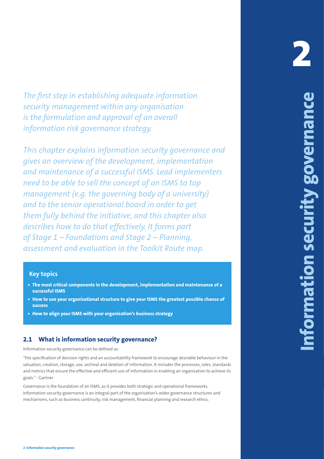*The first step in establishing adequate information security management within any organisation is the formulation and approval of an overall information risk governance strategy.*

**2 Information security governance 19 2 Information security governance 2 Information security governance**  *This chapter explains information security governance and gives an overview of the development, implementation and maintenance of a successful ISMS. Lead implementers need to be able to sell the concept of an ISMS to top management (e.g. the governing body of a university) and to the senior operational board in order to get them fully behind the initiative, and this chapter also describes how to do that effectively. It forms part of Stage 1 – Foundations and Stage 2 – Planning, assessment and evaluation in the Toolkit Route map.*

## **Key topics**

- **• The most critical components in the development, implementation and maintenance of a successful ISMS**
- **• How to use your organisational structure to give your ISMS the greatest possible chance of success**
- **• How to align your ISMS with your organisation's business strategy**

# **2.1 What is information security governance?**

Information security governance can be defined as:

"the specification of decision rights and an accountability framework to encourage desirable behaviour in the valuation, creation, storage, use, archival and deletion of information. It includes the processes, roles, standards and metrics that ensure the effective and efficient use of information in enabling an organisation to achieve its goals." - Gartner

Governance is the foundation of an ISMS, as it provides both strategic and operational frameworks. Information security governance is an integral part of the organisation's wider governance structures and mechanisms, such as business continuity, risk management, financial planning and research ethics.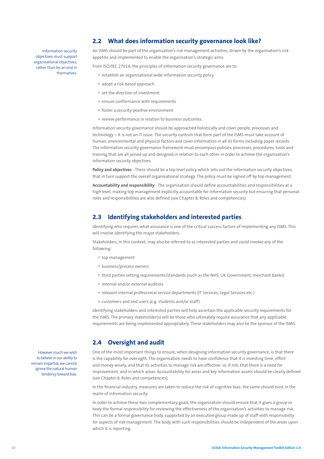# **2.2 What does information security governance look like?**

An ISMS should be part of the organisation's risk management activities, driven by the organisation's risk appetite and implemented to enable the organisation's strategic aims.

From ISO/IEC 27014, the principles of information security governance are to:

- establish an organisational wide information security policy
- adopt a risk based approach
- set the direction of investment
- ensure conformance with requirements
- foster a security-positive environment
- review performance in relation to business outcomes.

Information security governance should be approached holistically and cover people, processes and technology – it is not an IT issue. The security controls that form part of the ISMS must take account of human, environmental and physical factors and cover information in all its forms including paper records. The information security governance framework must encompass policies, processes, procedures, tools and training that are all joined up and designed in relation to each other in order to achieve the organisation's information security objectives.

**Policy and objectives** - There should be a top level policy which sets out the information security objectives, that in turn support the overall organisational strategy. The policy must be signed off by top management.

**Accountability and responsibility** - The organisation should define accountabilities and responsibilities at a high level, making top management explicitly accountable for information security but ensuring that personal roles and responsibilities are also defined (see Chapter 8, Roles and competencies).

## **2.3 Identifying stakeholders and interested parties**

Identifying who requires what assurance is one of the critical success factors of implementing any ISMS. This will involve identifying the major stakeholders.

Stakeholders, in this context, may also be referred to as interested parties and could involve any of the following:

- top management
- business/process owners
- third parties setting requirements/standards (such as the NHS, UK Government, merchant banks)
- internal and/or external auditors
- relevant internal professional service departments (IT Services, Legal Services etc.)
- customers and end users (e.g. students and/or staff).

Identifying stakeholders and interested parties will help ascertain the applicable security requirements for the ISMS. The primary stakeholder(s) will be those who ultimately require assurance that any applicable requirements are being implemented appropriately. These stakeholders may also be the sponsor of the ISMS.

## **2.4 Oversight and audit**

One of the most important things to ensure, when designing information security governance, is that there is the capability for oversight. The organisation needs to have confidence that it is investing time, effort and money wisely, and that its activities to manage risk are effective: or, if not, that there is a need for improvement, and in which areas. Accountability for areas and key information assets should be clearly defined (see Chapter 8, Roles and competencies).

In the financial industry, measures are taken to reduce the risk of cognitive bias: the same should exist in the realm of information security.

In order to achieve these two complementary goals, the organisation should ensure that it gives a group or body the formal responsibility for reviewing the effectiveness of the organisation's activities to manage risk. This can be a formal governance body, supported by an executive group made up of staff with responsibility for aspects of risk management. The body with such responsibilities should be independent of the areas upon which it is reporting.

However much we wish to believe in our ability to remain impartial, we cannot ignore the natural human tendency toward bias.

Information security objectives must support organisational objectives, rather than be an end in themselves.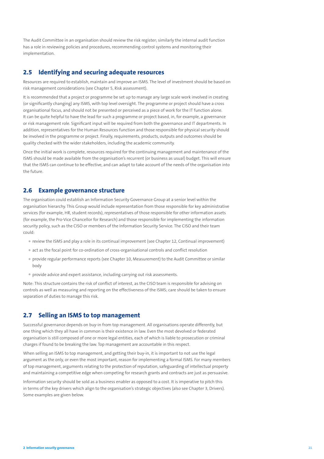The Audit Committee in an organisation should review the risk register; similarly the internal audit function has a role in reviewing policies and procedures, recommending control systems and monitoring their implementation.

## **2.5 Identifying and securing adequate resources**

Resources are required to establish, maintain and improve an ISMS. The level of investment should be based on risk management considerations (see Chapter 5, Risk assessment).

It is recommended that a project or programme be set up to manage any large scale work involved in creating (or significantly changing) any ISMS, with top level oversight. The programme or project should have a cross organisational focus, and should not be presented or perceived as a piece of work for the IT function alone. It can be quite helpful to have the lead for such a programme or project based, in, for example, a governance or risk management role. Significant input will be required from both the governance and IT departments. In addition, representatives for the Human Resources function and those responsible for physical security should be involved in the programme or project. Finally, requirements, products, outputs and outcomes should be quality checked with the wider stakeholders, including the academic community.

Once the initial work is complete, resources required for the continuing management and maintenance of the ISMS should be made available from the organisation's recurrent (or business as usual) budget. This will ensure that the ISMS can continue to be effective, and can adapt to take account of the needs of the organisation into the future.

## **2.6 Example governance structure**

The organisation could establish an Information Security Governance Group at a senior level within the organisation hierarchy. This Group would include representation from those responsible for key administrative services (for example, HR, student records), representatives of those responsible for other information assets (for example, the Pro-Vice Chancellor for Research) and those responsible for implementing the information security policy, such as the CISO or members of the Information Security Service. The CISO and their team could:

- review the ISMS and play a role in its continual improvement (see Chapter 12, Continual improvement)
- act as the focal point for co-ordination of cross-organisational controls and conflict resolution
- provide regular performance reports (see Chapter 10, Measurement) to the Audit Committee or similar body
- provide advice and expert assistance, including carrying out risk assessments.

Note: This structure contains the risk of conflict of interest, as the CISO team is responsible for advising on controls as well as measuring and reporting on the effectiveness of the ISMS; care should be taken to ensure separation of duties to manage this risk.

## **2.7 Selling an ISMS to top management**

Successful governance depends on buy-in from top management. All organisations operate differently, but one thing which they all have in common is their existence in law. Even the most devolved or federated organisation is still composed of one or more legal entities, each of which is liable to prosecution or criminal charges if found to be breaking the law. Top management are accountable in this respect.

When selling an ISMS to top management, and getting their buy-in, it is important to not use the legal argument as the only, or even the most important, reason for implementing a formal ISMS. For many members of top management, arguments relating to the protection of reputation, safeguarding of intellectual property and maintaining a competitive edge when competing for research grants and contracts are just as persuasive.

Information security should be sold as a business enabler as opposed to a cost. It is imperative to pitch this in terms of the key drivers which align to the organisation's strategic objectives (also see Chapter 3, Drivers). Some examples are given below.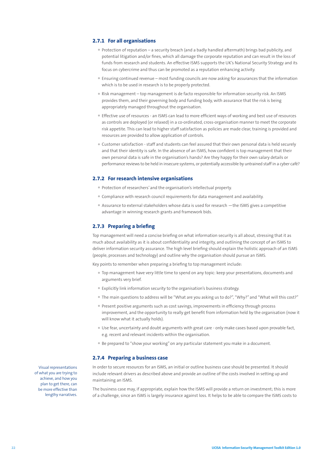#### **2.7.1 For all organisations**

- Protection of reputation a security breach (and a badly handled aftermath) brings bad publicity, and potential litigation and/or fines, which all damage the corporate reputation and can result in the loss of funds from research and students. An effective ISMS supports the UK's National Security Strategy and its focus on cybercrime and thus can be promoted as a reputation enhancing activity.
- Ensuring continued revenue most funding councils are now asking for assurances that the information which is to be used in research is to be properly protected.
- Risk management top management is de facto responsible for information security risk. An ISMS provides them, and their governing body and funding body, with assurance that the risk is being appropriately managed throughout the organisation.
- Effective use of resources an ISMS can lead to more efficient ways of working and best use of resources as controls are deployed (or relaxed) in a co-ordinated, cross-organisation manner to meet the corporate risk appetite. This can lead to higher staff satisfaction as policies are made clear, training is provided and resources are provided to allow application of controls.
- Customer satisfaction staff and students can feel assured that their own personal data is held securely and that their identity is safe. In the absence of an ISMS, how confident is top management that their own personal data is safe in the organisation's hands? Are they happy for their own salary details or performance reviews to be held in insecure systems, or potentially accessible by untrained staff in a cyber café?

#### **2.7.2 For research intensive organisations**

- Protection of researchers' and the organisation's intellectual property.
- Compliance with research council requirements for data management and availability.
- Assurance to external stakeholders whose data is used for research —the ISMS gives a competitive advantage in winning research grants and framework bids.

## **2.7.3 Preparing a briefing**

Top management will need a concise briefing on what information security is all about, stressing that it as much about availability as it is about confidentiality and integrity, and outlining the concept of an ISMS to deliver information security assurance. The high level briefing should explain the holistic approach of an ISMS (people, processes and technology) and outline why the organisation should pursue an ISMS.

Key points to remember when preparing a briefing to top management include:

- Top management have very little time to spend on any topic: keep your presentations, documents and arguments very brief.
- Explicitly link information security to the organisation's business strategy.
- The main questions to address will be "What are you asking us to do?", "Why?" and "What will this cost?"
- Present positive arguments such as cost savings, improvements in efficiency through process improvement, and the opportunity to really get benefit from information held by the organisation (now it will know what it actually holds).
- Use fear, uncertainty and doubt arguments with great care only make cases based upon provable fact, e.g. recent and relevant incidents within the organisation.
- Be prepared to "show your working" on any particular statement you make in a document.

#### **2.7.4 Preparing a business case**

In order to secure resources for an ISMS, an initial or outline business case should be presented. It should include relevant drivers as described above and provide an outline of the costs involved in setting up and maintaining an ISMS.

The business case may, if appropriate, explain how the ISMS will provide a return on investment; this is more of a challenge, since an ISMS is largely insurance against loss. It helps to be able to compare the ISMS costs to

Visual representations of what you are trying to achieve, and how you plan to get there, can be more effective than lengthy narratives.